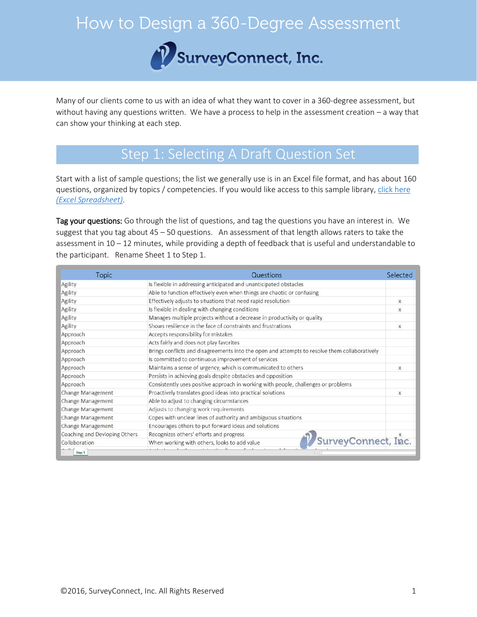## How to Design a 360-Degree Assessment



Many of our clients come to us with an idea of what they want to cover in a 360-degree assessment, but without having any questions written. We have a process to help in the assessment creation – a way that can show your thinking at each step.

## Step 1: Selecting A Draft Question Set

Start with a list of sample questions; the list we generally use is in an Excel file format, and has about 160 questions, organized by topics / competencies. If you would like access to this sample library, [click here](http://www.surveyconnect.com/downloads/SurveyConnect)  *[\(Excel Spreadsheet\)](http://www.surveyconnect.com/downloads/SurveyConnect)*.

Tag your questions: Go through the list of questions, and tag the questions you have an interest in. We suggest that you tag about 45 – 50 questions. An assessment of that length allows raters to take the assessment in 10 – 12 minutes, while providing a depth of feedback that is useful and understandable to the participant. Rename Sheet 1 to Step 1.

| Topic                         | Questions                                                                                     | Selected     |
|-------------------------------|-----------------------------------------------------------------------------------------------|--------------|
| Agility                       | Is flexible in addressing anticipated and unanticipated obstacles                             |              |
| Agility                       | Able to function effectively even when things are chaotic or confusing                        |              |
| Agility                       | Effectively adjusts to situations that need rapid resolution                                  | X            |
| Agility                       | Is flexible in dealing with changing conditions                                               | X            |
| Agility                       | Manages multiple projects without a decrease in productivity or quality                       |              |
| Agility                       | Shows resilience in the face of constraints and frustrations                                  |              |
| Approach                      | Accepts responsibility for mistakes                                                           |              |
| Approach                      | Acts fairly and does not play favorites                                                       |              |
| Approach                      | Brings conflicts and disagreements into the open and attempts to resolve them collaboratively |              |
| Approach                      | Is committed to continuous improvement of services                                            |              |
| Approach                      | Maintains a sense of urgency, which is communicated to others                                 | X            |
| Approach                      | Persists in achieving goals despite obstacles and opposition                                  |              |
| Approach                      | Consistently uses positive approach in working with people, challenges or problems            |              |
| Change Management             | Proactively translates good ideas into practical solutions                                    | $\mathsf{x}$ |
| Change Management             | Able to adjust to changing circumstances                                                      |              |
| Change Management             | Adjusts to changing work requirements                                                         |              |
| Change Management             | Copes with unclear lines of authority and ambiguous situations                                |              |
| Change Management             | Encourages others to put forward ideas and solutions                                          |              |
| Coaching and Devloping Others | Recognizes others' efforts and progress                                                       |              |
| Collaboration                 | SurveyConnect, Inc.<br>When working with others, looks to add value                           |              |
| Step 1                        |                                                                                               |              |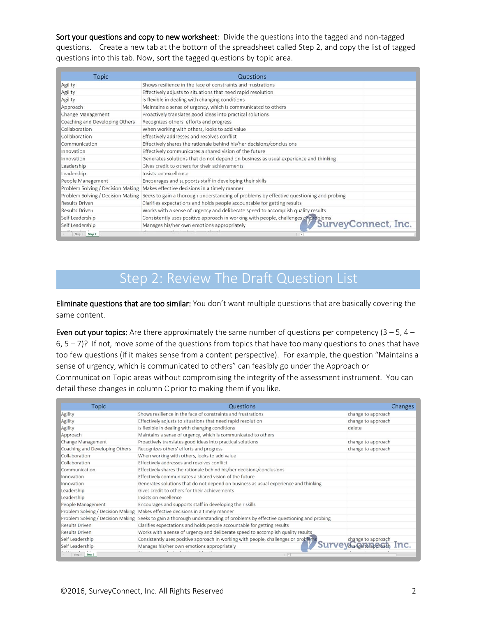Sort your questions and copy to new worksheet: Divide the questions into the tagged and non-tagged questions. Create a new tab at the bottom of the spreadsheet called Step 2, and copy the list of tagged questions into this tab. Now, sort the tagged questions by topic area.

| Topic                          | Questions                                                                                                                 |
|--------------------------------|---------------------------------------------------------------------------------------------------------------------------|
| Agility                        | Shows resilience in the face of constraints and frustrations                                                              |
| Agility                        | Effectively adjusts to situations that need rapid resolution                                                              |
| Agility                        | Is flexible in dealing with changing conditions                                                                           |
| Approach                       | Maintains a sense of urgency, which is communicated to others                                                             |
| Change Management              | Proactively translates good ideas into practical solutions                                                                |
| Coaching and Developing Others | Recognizes others' efforts and progress                                                                                   |
| Collaboration                  | When working with others, looks to add value                                                                              |
| Collaboration                  | Effectively addresses and resolves conflict                                                                               |
| Communication                  | Effectively shares the rationale behind his/her decisions/conclusions                                                     |
| Innovation                     | Effectively communicates a shared vision of the future                                                                    |
| Innovation                     | Generates solutions that do not depend on business as usual experience and thinking                                       |
| Leadership                     | Gives credit to others for their achievements                                                                             |
| Leadership                     | Insists on excellence                                                                                                     |
| People Management              | Encourages and supports staff in developing their skills                                                                  |
|                                | Problem Solving / Decision Making Makes effective decisions in a timely manner                                            |
|                                | Problem Solving / Decision Making Seeks to gain a thorough understanding of problems by effective questioning and probing |
| <b>Results Driven</b>          | Clarifies expectations and holds people accountable for getting results                                                   |
| <b>Results Driven</b>          | Works with a sense of urgency and deliberate speed to accomplish quality results                                          |
| Self Leadership                | Consistently uses positive approach in working with people, challenges or problems                                        |
| Self Leadership                | SurveyConnect, Inc.<br>Manages his/her own emotions appropriately                                                         |
| Step 1 Step 2                  | $\vert \cdot \vert$                                                                                                       |

## Step 2: Review The Draft Question List

Eliminate questions that are too similar: You don't want multiple questions that are basically covering the same content.

Even out your topics: Are there approximately the same number of questions per competency  $(3 - 5, 4 - 1)$  $6, 5 - 7$ )? If not, move some of the questions from topics that have too many questions to ones that have too few questions (if it makes sense from a content perspective). For example, the question "Maintains a sense of urgency, which is communicated to others" can feasibly go under the Approach or Communication Topic areas without compromising the integrity of the assessment instrument. You can detail these changes in column C prior to making them if you like.

| Topic                             | Questions                                                                               | Changes                   |
|-----------------------------------|-----------------------------------------------------------------------------------------|---------------------------|
| Agility                           | Shows resilience in the face of constraints and frustrations                            | change to approach        |
| Agility                           | Effectively adjusts to situations that need rapid resolution                            | change to approach        |
| Agility                           | Is flexible in dealing with changing conditions                                         | delete                    |
| Approach                          | Maintains a sense of urgency, which is communicated to others                           |                           |
| Change Management                 | Proactively translates good ideas into practical solutions                              | change to approach        |
| Coaching and Developing Others    | Recognizes others' efforts and progress                                                 | change to approach        |
| Collaboration                     | When working with others, looks to add value                                            |                           |
| Collaboration                     | Effectively addresses and resolves conflict                                             |                           |
| Communication                     | Effectively shares the rationale behind his/her decisions/conclusions                   |                           |
| Innovation                        | Effectively communicates a shared vision of the future                                  |                           |
| Innovation                        | Generates solutions that do not depend on business as usual experience and thinking     |                           |
| Leadership                        | Gives credit to others for their achievements                                           |                           |
| Leadership                        | Insists on excellence                                                                   |                           |
| People Management                 | Encourages and supports staff in developing their skills                                |                           |
| Problem Solving / Decision Making | Makes effective decisions in a timely manner                                            |                           |
| Problem Solving / Decision Making | Seeks to gain a thorough understanding of problems by effective questioning and probing |                           |
| <b>Results Driven</b>             | Clarifies expectations and holds people accountable for getting results                 |                           |
| <b>Results Driven</b>             | Works with a sense of urgency and deliberate speed to accomplish quality results        |                           |
| Self Leadership                   | Consistently uses positive approach in working with people, challenges or problems      | change to approach        |
| Self Leadership                   | Manages his/her own emotions appropriately                                              | <b>Surve</b> VchangeItbla |
| Step 1 Step 2                     |                                                                                         |                           |